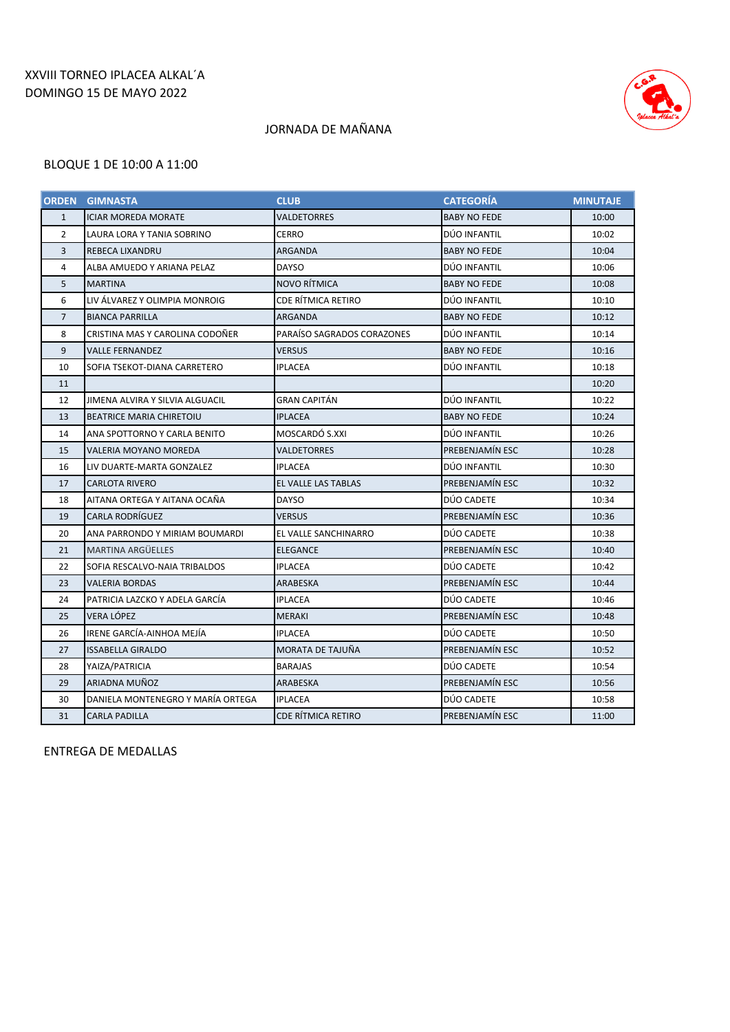## XXVIII TORNEO IPLACEA ALKAL´A DOMINGO 15 DE MAYO 2022



# JORNADA DE MAÑANA

#### BLOQUE 1 DE 10:00 A 11:00

| <b>ORDEN</b>   | <b>GIMNASTA</b>                   | <b>CLUB</b>                | <b>CATEGORÍA</b>    | <b>MINUTAJE</b> |
|----------------|-----------------------------------|----------------------------|---------------------|-----------------|
| $\mathbf{1}$   | <b>ICIAR MOREDA MORATE</b>        | VALDETORRES                | <b>BABY NO FEDE</b> | 10:00           |
| $\overline{2}$ | LAURA LORA Y TANIA SOBRINO        | <b>CERRO</b>               | DÚO INFANTIL        | 10:02           |
| 3              | REBECA LIXANDRU                   | ARGANDA                    | <b>BABY NO FEDE</b> | 10:04           |
| 4              | ALBA AMUEDO Y ARIANA PELAZ        | <b>DAYSO</b>               | DÚO INFANTIL        | 10:06           |
| 5              | <b>MARTINA</b>                    | NOVO RÍTMICA               | <b>BABY NO FEDE</b> | 10:08           |
| 6              | LIV ÁLVAREZ Y OLIMPIA MONROIG     | CDE RÍTMICA RETIRO         | DÚO INFANTIL        | 10:10           |
| $\overline{7}$ | <b>BIANCA PARRILLA</b>            | ARGANDA                    | <b>BABY NO FEDE</b> | 10:12           |
| 8              | CRISTINA MAS Y CAROLINA CODOÑER   | PARAÍSO SAGRADOS CORAZONES | DÚO INFANTIL        | 10:14           |
| 9              | VALLE FERNANDEZ                   | VERSUS                     | <b>BABY NO FEDE</b> | 10:16           |
| 10             | SOFIA TSEKOT-DIANA CARRETERO      | IPLACEA                    | DÚO INFANTIL        | 10:18           |
| 11             |                                   |                            |                     | 10:20           |
| 12             | JIMENA ALVIRA Y SILVIA ALGUACIL   | GRAN CAPITÁN               | DÚO INFANTIL        | 10:22           |
| 13             | <b>BEATRICE MARIA CHIRETOIU</b>   | <b>IPLACEA</b>             | <b>BABY NO FEDE</b> | 10:24           |
| 14             | ANA SPOTTORNO Y CARLA BENITO      | MOSCARDÓ S.XXI             | DÚO INFANTIL        | 10:26           |
| 15             | VALERIA MOYANO MOREDA             | VALDETORRES                | PREBENJAMÍN ESC     | 10:28           |
| 16             | LIV DUARTE-MARTA GONZALEZ         | <b>IPLACEA</b>             | DÚO INFANTIL        | 10:30           |
| 17             | <b>CARLOTA RIVERO</b>             | EL VALLE LAS TABLAS        | PREBENJAMÍN ESC     | 10:32           |
| 18             | AITANA ORTEGA Y AITANA OCAÑA      | DAYSO                      | DÚO CADETE          | 10:34           |
| 19             | CARLA RODRÍGUEZ                   | <b>VERSUS</b>              | PREBENJAMÍN ESC     | 10:36           |
| 20             | ANA PARRONDO Y MIRIAM BOUMARDI    | EL VALLE SANCHINARRO       | DÚO CADETE          | 10:38           |
| 21             | MARTINA ARGÜELLES                 | <b>ELEGANCE</b>            | PREBENJAMÍN ESC     | 10:40           |
| 22             | SOFIA RESCALVO-NAIA TRIBALDOS     | <b>IPLACEA</b>             | DÚO CADETE          | 10:42           |
| 23             | <b>VALERIA BORDAS</b>             | ARABESKA                   | PREBENJAMÍN ESC     | 10:44           |
| 24             | PATRICIA LAZCKO Y ADELA GARCÍA    | IPLACEA                    | DÚO CADETE          | 10:46           |
| 25             | VERA LÓPEZ                        | <b>MERAKI</b>              | PREBENJAMÍN ESC     | 10:48           |
| 26             | IRENE GARCÍA-AINHOA MEJÍA         | <b>IPLACEA</b>             | DÚO CADETE          | 10:50           |
| 27             | ISSABELLA GIRALDO                 | MORATA DE TAJUÑA           | PREBENJAMÍN ESC     | 10:52           |
| 28             | YAIZA/PATRICIA                    | <b>BARAJAS</b>             | DÚO CADETE          | 10:54           |
| 29             | ARIADNA MUÑOZ                     | <b>ARABESKA</b>            | PREBENJAMÍN ESC     | 10:56           |
| 30             | DANIELA MONTENEGRO Y MARÍA ORTEGA | <b>IPLACEA</b>             | DÚO CADETE          | 10:58           |
| 31             | <b>CARLA PADILLA</b>              | CDE RÍTMICA RETIRO         | PREBENJAMÍN ESC     | 11:00           |

ENTREGA DE MEDALLAS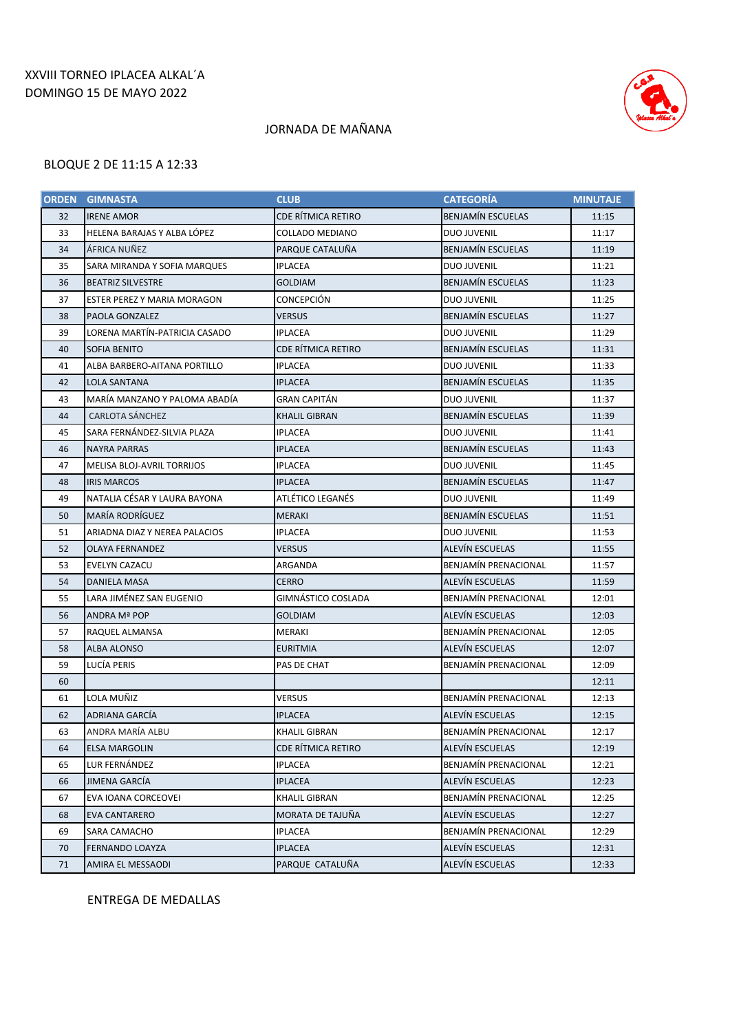### XXVIII TORNEO IPLACEA ALKAL´A DOMINGO 15 DE MAYO 2022



### JORNADA DE MAÑANA

#### BLOQUE 2 DE 11:15 A 12:33

| <b>ORDEN</b> | <b>GIMNASTA</b>                   | <b>CLUB</b>            | <b>CATEGORÍA</b>            | <b>MINUTAJE</b> |
|--------------|-----------------------------------|------------------------|-----------------------------|-----------------|
| 32           | <b>IRENE AMOR</b>                 | CDE RÍTMICA RETIRO     | <b>BENJAMÍN ESCUELAS</b>    | 11:15           |
| 33           | HELENA BARAJAS Y ALBA LÓPEZ       | <b>COLLADO MEDIANO</b> | <b>DUO JUVENIL</b>          | 11:17           |
| 34           | ÁFRICA NUÑEZ                      | PARQUE CATALUÑA        | <b>BENJAMÍN ESCUELAS</b>    | 11:19           |
| 35           | SARA MIRANDA Y SOFIA MARQUES      | IPLACEA                | <b>DUO JUVENIL</b>          | 11:21           |
| 36           | <b>BEATRIZ SILVESTRE</b>          | <b>GOLDIAM</b>         | <b>BENJAMÍN ESCUELAS</b>    | 11:23           |
| 37           | ESTER PEREZ Y MARIA MORAGON       | <b>CONCEPCIÓN</b>      | <b>DUO JUVENIL</b>          | 11:25           |
| 38           | PAOLA GONZALEZ                    | VERSUS                 | <b>BENJAMÍN ESCUELAS</b>    | 11:27           |
| 39           | LORENA MARTÍN-PATRICIA CASADO     | IPLACEA                | <b>DUO JUVENIL</b>          | 11:29           |
| 40           | <b>SOFIA BENITO</b>               | CDE RÍTMICA RETIRO     | <b>BENJAMÍN ESCUELAS</b>    | 11:31           |
| 41           | ALBA BARBERO-AITANA PORTILLO      | <b>IPLACEA</b>         | <b>DUO JUVENIL</b>          | 11:33           |
| 42           | LOLA SANTANA                      | <b>IPLACEA</b>         | <b>BENJAMÍN ESCUELAS</b>    | 11:35           |
| 43           | MARÍA MANZANO Y PALOMA ABADÍA     | GRAN CAPITÁN           | <b>DUO JUVENIL</b>          | 11:37           |
| 44           | <b>CARLOTA SÁNCHEZ</b>            | <b>KHALIL GIBRAN</b>   | <b>BENJAMÍN ESCUELAS</b>    | 11:39           |
| 45           | SARA FERNÁNDEZ-SILVIA PLAZA       | <b>IPLACEA</b>         | <b>DUO JUVENIL</b>          | 11:41           |
| 46           | <b>NAYRA PARRAS</b>               | IPLACEA                | <b>BENJAMÍN ESCUELAS</b>    | 11:43           |
| 47           | <b>MELISA BLOJ-AVRIL TORRIJOS</b> | <b>IPLACEA</b>         | <b>DUO JUVENIL</b>          | 11:45           |
| 48           | <b>IRIS MARCOS</b>                | <b>IPLACEA</b>         | <b>BENJAMÍN ESCUELAS</b>    | 11:47           |
| 49           | NATALIA CÉSAR Y LAURA BAYONA      | ATLÉTICO LEGANÉS       | <b>DUO JUVENIL</b>          | 11:49           |
| 50           | MARÍA RODRÍGUEZ                   | <b>MERAKI</b>          | <b>BENJAMÍN ESCUELAS</b>    | 11:51           |
| 51           | ARIADNA DIAZ Y NEREA PALACIOS     | IPLACEA                | <b>DUO JUVENIL</b>          | 11:53           |
| 52           | <b>OLAYA FERNANDEZ</b>            | <b>VERSUS</b>          | <b>ALEVÍN ESCUELAS</b>      | 11:55           |
| 53           | EVELYN CAZACU                     | ARGANDA                | <b>BENJAMÍN PRENACIONAL</b> | 11:57           |
| 54           | DANIELA MASA                      | <b>CERRO</b>           | <b>ALEVÍN ESCUELAS</b>      | 11:59           |
| 55           | LARA JIMÉNEZ SAN EUGENIO          | GIMNÁSTICO COSLADA     | <b>BENJAMÍN PRENACIONAL</b> | 12:01           |
| 56           | ANDRA Mª POP                      | <b>GOLDIAM</b>         | ALEVÍN ESCUELAS             | 12:03           |
| 57           | RAQUEL ALMANSA                    | MERAKI                 | <b>BENJAMÍN PRENACIONAL</b> | 12:05           |
| 58           | ALBA ALONSO                       | EURITMIA               | ALEVÍN ESCUELAS             | 12:07           |
| 59           | LUCÍA PERIS                       | PAS DE CHAT            | BENJAMÍN PRENACIONAL        | 12:09           |
| 60           |                                   |                        |                             | 12:11           |
| 61           | LOLA MUÑIZ                        | VERSUS                 | BENJAMÍN PRENACIONAL        | 12:13           |
| 62           | ADRIANA GARCÍA                    | IPLACEA                | ALEVIN ESCUELAS             | 12:15           |
| 63           | ANDRA MARÍA ALBU                  | <b>KHALIL GIBRAN</b>   | BENJAMÍN PRENACIONAL        | 12:17           |
| 64           | <b>ELSA MARGOLIN</b>              | CDE RÍTMICA RETIRO     | <b>ALEVÍN ESCUELAS</b>      | 12:19           |
| 65           | LUR FERNÁNDEZ                     | <b>IPLACEA</b>         | BENJAMÍN PRENACIONAL        | 12:21           |
| 66           | JIMENA GARCÍA                     | <b>IPLACEA</b>         | ALEVÍN ESCUELAS             | 12:23           |
| 67           | EVA IOANA CORCEOVEI               | KHALIL GIBRAN          | BENJAMÍN PRENACIONAL        | 12:25           |
| 68           | <b>EVA CANTARERO</b>              | MORATA DE TAJUÑA       | ALEVÍN ESCUELAS             | 12:27           |
| 69           | SARA CAMACHO                      | <b>IPLACEA</b>         | <b>BENJAMÍN PRENACIONAL</b> | 12:29           |
| 70           | FERNANDO LOAYZA                   | <b>IPLACEA</b>         | <b>ALEVÍN ESCUELAS</b>      | 12:31           |
| 71           | AMIRA EL MESSAODI                 | PARQUE CATALUÑA        | <b>ALEVÍN ESCUELAS</b>      | 12:33           |

ENTREGA DE MEDALLAS